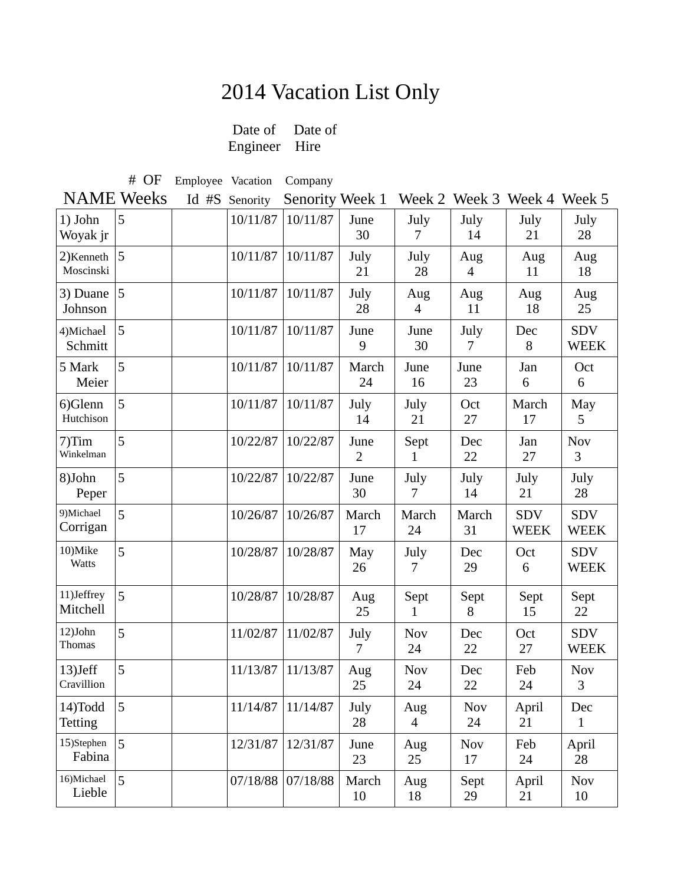## 2014 Vacation List Only<br>Date of Date of

Date of Engineer Hire

# OF Employee Vacation Company

NAME Weeks Id #S Senority Senority Week 1 Week 2 Week 3 Week 4 Week 5

| 1) John<br>Woyak jr          | 5 | 10/11/87 | 10/11/87 | June<br>30             | July<br>7              | July<br>14       | July<br>21                | July<br>28                |
|------------------------------|---|----------|----------|------------------------|------------------------|------------------|---------------------------|---------------------------|
| 2) Kenneth $ 5$<br>Moscinski |   | 10/11/87 | 10/11/87 | July<br>21             | July<br>28             | Aug<br>4         | Aug<br>11                 | Aug<br>18                 |
| 3) Duane<br>Johnson          | 5 | 10/11/87 | 10/11/87 | July<br>28             | Aug<br>4               | Aug<br>11        | Aug<br>18                 | Aug<br>25                 |
| 4)Michael<br>Schmitt         | 5 | 10/11/87 | 10/11/87 | June<br>9              | June<br>30             | July<br>7        | Dec<br>8                  | <b>SDV</b><br><b>WEEK</b> |
| 5 Mark<br>Meier              | 5 | 10/11/87 | 10/11/87 | March<br>24            | June<br>16             | June<br>23       | Jan<br>6                  | Oct<br>6                  |
| 6)Glenn<br>Hutchison         | 5 | 10/11/87 | 10/11/87 | July<br>14             | July<br>21             | Oct<br>27        | March<br>17               | May<br>5                  |
| 7)Tim<br>Winkelman           | 5 | 10/22/87 | 10/22/87 | June<br>$\overline{2}$ | Sept<br>1              | Dec<br>22        | Jan<br>27                 | <b>Nov</b><br>3           |
| 8)John<br>Peper              | 5 | 10/22/87 | 10/22/87 | June<br>30             | July<br>7              | July<br>14       | July<br>21                | July<br>28                |
|                              |   |          |          |                        |                        |                  |                           |                           |
| 9)Michael<br>Corrigan        | 5 | 10/26/87 | 10/26/87 | March<br>17            | March<br>24            | March<br>31      | <b>SDV</b><br><b>WEEK</b> | <b>SDV</b><br><b>WEEK</b> |
| 10)Mike<br><b>Watts</b>      | 5 | 10/28/87 | 10/28/87 | May<br>26              | July<br>$\overline{7}$ | Dec<br>29        | Oct<br>6                  | <b>SDV</b><br><b>WEEK</b> |
| 11)Jeffrey<br>Mitchell       | 5 | 10/28/87 | 10/28/87 | Aug<br>25              | Sept<br>1              | Sept<br>8        | Sept<br>15                | Sept<br>22                |
| $12)$ John<br>Thomas         | 5 | 11/02/87 | 11/02/87 | July<br>$\tau$         | <b>Nov</b><br>24       | Dec<br>22        | Oct<br>27                 | <b>SDV</b><br><b>WEEK</b> |
| $13)$ Jeff<br>Cravillion     | 5 | 11/13/87 | 11/13/87 | Aug<br>25              | <b>Nov</b><br>24       | Dec<br>22        | Feb<br>24                 | <b>Nov</b><br>3           |
| 14)Todd<br>Tetting           | 5 | 11/14/87 | 11/14/87 | July<br>28             | Aug<br>$\overline{4}$  | <b>Nov</b><br>24 | April<br>21               | Dec<br>$\mathbf{1}$       |
| 15)Stephen<br>Fabina         | 5 | 12/31/87 | 12/31/87 | June<br>23             | Aug<br>25              | <b>Nov</b><br>17 | Feb<br>24                 | April<br>28               |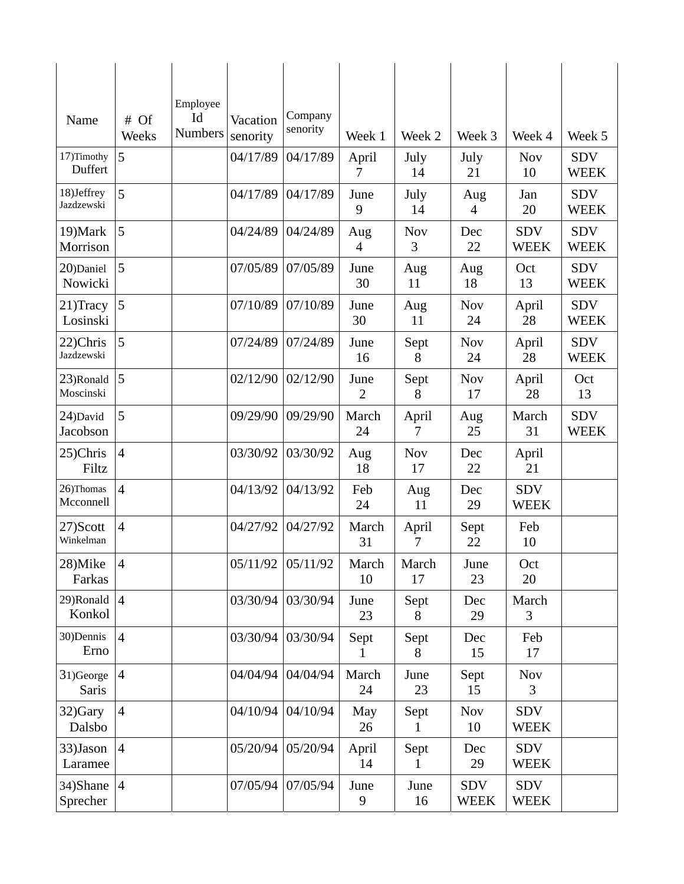| Name                        | # Of<br>Weeks           | Employee<br>Id<br><b>Numbers</b> | Vacation<br>senority | Company<br>senority | Week 1                 | Week 2           | Week 3                    | Week 4                    | Week 5                    |
|-----------------------------|-------------------------|----------------------------------|----------------------|---------------------|------------------------|------------------|---------------------------|---------------------------|---------------------------|
| 17)Timothy<br>Duffert       | 5                       |                                  | 04/17/89             | 04/17/89            | April<br>7             | July<br>14       | July<br>21                | <b>Nov</b><br>10          | <b>SDV</b><br><b>WEEK</b> |
| 18)Jeffrey<br>Jazdzewski    | 5                       |                                  | 04/17/89             | 04/17/89            | June<br>9              | July<br>14       | Aug<br>$\overline{4}$     | Jan<br>20                 | <b>SDV</b><br><b>WEEK</b> |
| 19) Mark<br>Morrison        | 5                       |                                  | 04/24/89             | 04/24/89            | Aug<br>4               | <b>Nov</b><br>3  | Dec<br>22                 | <b>SDV</b><br><b>WEEK</b> | <b>SDV</b><br><b>WEEK</b> |
| 20)Daniel<br>Nowicki        | 5                       |                                  | 07/05/89             | 07/05/89            | June<br>30             | Aug<br>11        | Aug<br>18                 | Oct<br>13                 | <b>SDV</b><br><b>WEEK</b> |
| 21) Tracy<br>Losinski       | $\overline{\mathbf{5}}$ |                                  | 07/10/89             | 07/10/89            | June<br>30             | Aug<br>11        | <b>Nov</b><br>24          | April<br>28               | <b>SDV</b><br><b>WEEK</b> |
| 22)Chris<br>Jazdzewski      | 5                       |                                  | 07/24/89             | 07/24/89            | June<br>16             | Sept<br>8        | <b>Nov</b><br>24          | April<br>28               | <b>SDV</b><br><b>WEEK</b> |
| 23)Ronald $ 5$<br>Moscinski |                         |                                  | 02/12/90             | 02/12/90            | June<br>$\overline{2}$ | Sept<br>8        | <b>Nov</b><br>17          | April<br>28               | Oct<br>13                 |
| 24)David<br>Jacobson        | 5                       |                                  | 09/29/90             | 09/29/90            | March<br>24            | April<br>7       | Aug<br>25                 | March<br>31               | <b>SDV</b><br><b>WEEK</b> |
| 25)Chris<br>Filtz           | $\overline{4}$          |                                  | 03/30/92             | 03/30/92            | Aug<br>18              | <b>Nov</b><br>17 | Dec<br>22                 | April<br>21               |                           |
| 26)Thomas<br>Mcconnell      | $\overline{4}$          |                                  | 04/13/92             | 04/13/92            | Feb<br>24              | Aug<br>11        | Dec<br>29                 | <b>SDV</b><br><b>WEEK</b> |                           |
| 27)Scott<br>Winkelman       | $\overline{4}$          |                                  | 04/27/92             | 04/27/92            | March<br>31            | April<br>7       | Sept<br>22                | Feb<br>10                 |                           |
| 28)Mike<br>Farkas           | $\overline{4}$          |                                  | 05/11/92             | 05/11/92            | March<br>10            | March<br>17      | June<br>23                | Oct<br>20                 |                           |
| 29)Ronald $ 4$<br>Konkol    |                         |                                  | 03/30/94             | 03/30/94            | June<br>23             | Sept<br>8        | Dec<br>29                 | March<br>3                |                           |
| 30) Dennis<br>Erno          | $\overline{4}$          |                                  | 03/30/94             | 03/30/94            | Sept<br>1              | Sept<br>8        | Dec<br>15                 | Feb<br>17                 |                           |
| 31)George<br>Saris          | $\overline{4}$          |                                  | 04/04/94             | 04/04/94            | March<br>24            | June<br>23       | Sept<br>15                | <b>Nov</b><br>3           |                           |
| 32)Gary<br>Dalsbo           | $\overline{4}$          |                                  | 04/10/94             | 04/10/94            | May<br>26              | Sept             | <b>Nov</b><br>10          | <b>SDV</b><br><b>WEEK</b> |                           |
| 33)Jason<br>Laramee         | $\overline{4}$          |                                  | 05/20/94             | 05/20/94            | April<br>14            | Sept             | Dec<br>29                 | <b>SDV</b><br><b>WEEK</b> |                           |
| 34)Shane $ 4$<br>Sprecher   |                         |                                  | 07/05/94             | 07/05/94            | June<br>9              | June<br>16       | <b>SDV</b><br><b>WEEK</b> | <b>SDV</b><br><b>WEEK</b> |                           |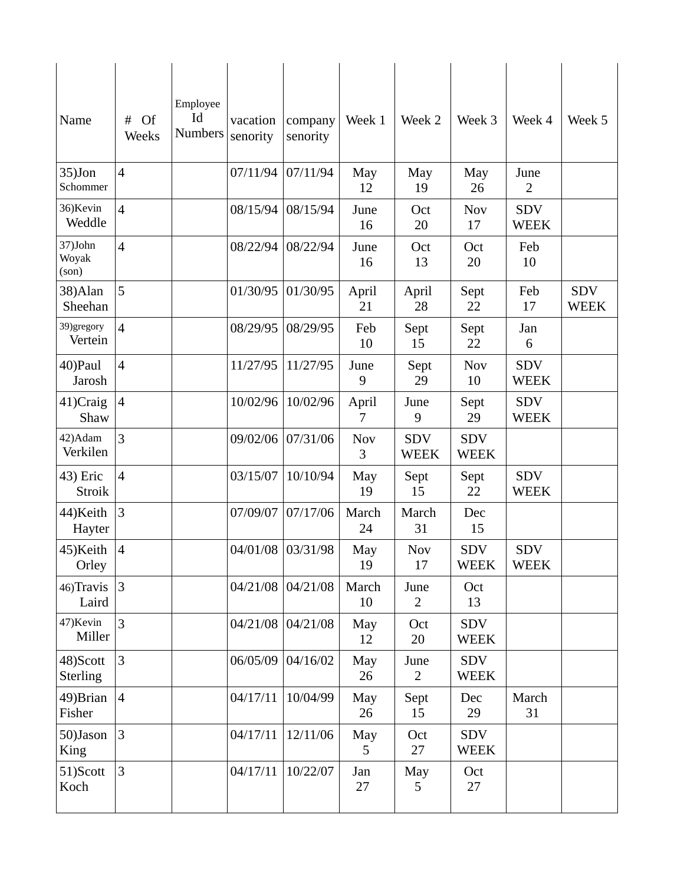| Name                      | #<br><b>Of</b><br>Weeks | Employee<br>Id<br><b>Numbers</b> | vacation<br>senority | company<br>senority | Week 1          | Week 2                    | Week 3                    | Week 4                    | Week 5                    |
|---------------------------|-------------------------|----------------------------------|----------------------|---------------------|-----------------|---------------------------|---------------------------|---------------------------|---------------------------|
| $35)$ Jon<br>Schommer     | $\overline{4}$          |                                  | 07/11/94             | 07/11/94            | May<br>12       | May<br>19                 | May<br>26                 | June<br>2                 |                           |
| 36) Kevin<br>Weddle       | $\overline{4}$          |                                  | 08/15/94             | 08/15/94            | June<br>16      | Oct<br>20                 | Nov<br>17                 | <b>SDV</b><br><b>WEEK</b> |                           |
| 37)John<br>Woyak<br>(son) | $\overline{4}$          |                                  | 08/22/94             | 08/22/94            | June<br>16      | Oct<br>13                 | Oct<br>20                 | Feb<br>10                 |                           |
| 38) Alan<br>Sheehan       | 5                       |                                  | 01/30/95             | 01/30/95            | April<br>21     | April<br>28               | Sept<br>22                | Feb<br>17                 | <b>SDV</b><br><b>WEEK</b> |
| 39)gregory<br>Vertein     | $\overline{4}$          |                                  | 08/29/95             | 08/29/95            | Feb<br>10       | Sept<br>15                | Sept<br>22                | Jan<br>6                  |                           |
| 40)Paul<br>Jarosh         | $\overline{4}$          |                                  | 11/27/95             | 11/27/95            | June<br>9       | Sept<br>29                | <b>Nov</b><br>10          | <b>SDV</b><br><b>WEEK</b> |                           |
| $41)$ Craig<br>Shaw       | $\overline{4}$          |                                  | 10/02/96             | 10/02/96            | April<br>7      | June<br>9                 | Sept<br>29                | <b>SDV</b><br><b>WEEK</b> |                           |
| 42) Adam<br>Verkilen      | $\overline{3}$          |                                  | 09/02/06             | 07/31/06            | <b>Nov</b><br>3 | <b>SDV</b><br><b>WEEK</b> | <b>SDV</b><br><b>WEEK</b> |                           |                           |
| 43) Eric<br>Stroik        | $\overline{4}$          |                                  | 03/15/07             | 10/10/94            | May<br>19       | Sept<br>15                | Sept<br>22                | <b>SDV</b><br><b>WEEK</b> |                           |
| 44) Keith<br>Hayter       | $\overline{3}$          |                                  | 07/09/07             | 07/17/06            | March<br>24     | March<br>31               | Dec<br>15                 |                           |                           |
| 45)Keith<br>Orley         | $\overline{4}$          |                                  |                      | 04/01/08 03/31/98   | May<br>19       | <b>Nov</b><br>17          | <b>SDV</b><br><b>WEEK</b> | <b>SDV</b><br><b>WEEK</b> |                           |
| 46) Travis<br>Laird       | 3                       |                                  |                      | 04/21/08 04/21/08   | March<br>10     | June<br>$\overline{2}$    | Oct<br>13                 |                           |                           |
| 47) Kevin<br>Miller       | 3                       |                                  | 04/21/08             | 04/21/08            | May<br>12       | Oct<br>20                 | <b>SDV</b><br><b>WEEK</b> |                           |                           |
| 48)Scott<br>Sterling      | 3                       |                                  | 06/05/09             | 04/16/02            | May<br>26       | June<br>$\overline{2}$    | <b>SDV</b><br><b>WEEK</b> |                           |                           |
| 49) Brian<br>Fisher       | $\overline{4}$          |                                  | 04/17/11             | 10/04/99            | May<br>26       | Sept<br>15                | Dec<br>29                 | March<br>31               |                           |
| 50)Jason<br>King          | 3                       |                                  | 04/17/11             | 12/11/06            | May<br>5        | Oct<br>27                 | <b>SDV</b><br><b>WEEK</b> |                           |                           |
| 51)Scott<br>Koch          | 3                       |                                  | 04/17/11             | 10/22/07            | Jan<br>27       | May<br>5                  | Oct<br>27                 |                           |                           |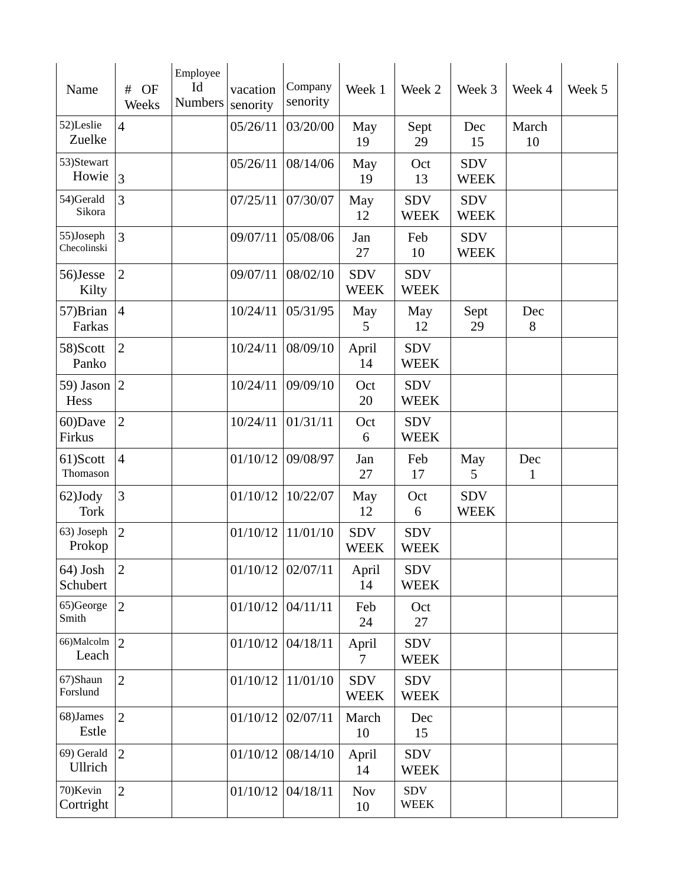| Name                     | #<br>OF<br>Weeks | Employee<br>Id<br><b>Numbers</b> | vacation<br>senority | Company<br>senority | Week 1                    | Week 2                    | Week 3                    | Week 4      | Week 5 |
|--------------------------|------------------|----------------------------------|----------------------|---------------------|---------------------------|---------------------------|---------------------------|-------------|--------|
| 52)Leslie<br>Zuelke      | $\overline{4}$   |                                  | 05/26/11             | 03/20/00            | May<br>19                 | Sept<br>29                | Dec<br>15                 | March<br>10 |        |
| 53)Stewart<br>Howie      | $\overline{3}$   |                                  | 05/26/11             | 08/14/06            | May<br>19                 | Oct<br>13                 | <b>SDV</b><br><b>WEEK</b> |             |        |
| 54)Gerald<br>Sikora      | 3                |                                  | 07/25/11             | 07/30/07            | May<br>12                 | <b>SDV</b><br><b>WEEK</b> | <b>SDV</b><br><b>WEEK</b> |             |        |
| 55)Joseph<br>Checolinski | 3                |                                  | 09/07/11             | 05/08/06            | Jan<br>27                 | Feb<br>10                 | <b>SDV</b><br><b>WEEK</b> |             |        |
| 56)Jesse<br>Kilty        | $\overline{2}$   |                                  | 09/07/11             | 08/02/10            | <b>SDV</b><br><b>WEEK</b> | <b>SDV</b><br><b>WEEK</b> |                           |             |        |
| 57) Brian<br>Farkas      | $\overline{4}$   |                                  | 10/24/11             | 05/31/95            | May<br>5                  | May<br>12                 | Sept<br>29                | Dec<br>8    |        |
| 58)Scott<br>Panko        | $\overline{2}$   |                                  | 10/24/11             | 08/09/10            | April<br>14               | <b>SDV</b><br><b>WEEK</b> |                           |             |        |
| 59) Jason $ 2 $<br>Hess  |                  |                                  | 10/24/11             | 09/09/10            | Oct<br>20                 | <b>SDV</b><br><b>WEEK</b> |                           |             |        |
| 60)Dave<br>Firkus        | $\overline{2}$   |                                  | 10/24/11             | 01/31/11            | Oct<br>6                  | <b>SDV</b><br><b>WEEK</b> |                           |             |        |
| 61)Scott<br>Thomason     | $\overline{4}$   |                                  | 01/10/12             | 09/08/97            | Jan<br>27                 | Feb<br>17                 | May<br>5                  | Dec<br>1    |        |
| 62)Jody<br><b>Tork</b>   | 3                |                                  | 01/10/12             | 10/22/07            | May<br>12                 | Oct<br>6                  | <b>SDV</b><br><b>WEEK</b> |             |        |
| 63) Joseph<br>Prokop     | $\overline{2}$   |                                  | 01/10/12             | 11/01/10            | <b>SDV</b><br><b>WEEK</b> | <b>SDV</b><br><b>WEEK</b> |                           |             |        |
| 64) Josh<br>Schubert     | $\overline{2}$   |                                  | $01/10/12$ 02/07/11  |                     | April<br>14               | <b>SDV</b><br><b>WEEK</b> |                           |             |        |
| 65)George<br>Smith       | $\overline{2}$   |                                  | 01/10/12             | 04/11/11            | Feb<br>24                 | Oct<br>27                 |                           |             |        |
| 66)Malcolm<br>Leach      | $\overline{2}$   |                                  | $01/10/12$ 04/18/11  |                     | April<br>7                | <b>SDV</b><br><b>WEEK</b> |                           |             |        |
| 67)Shaun<br>Forslund     | $\overline{2}$   |                                  | 01/10/12             | 11/01/10            | <b>SDV</b><br><b>WEEK</b> | <b>SDV</b><br><b>WEEK</b> |                           |             |        |
| 68)James<br>Estle        | $\overline{2}$   |                                  | 01/10/12             | 02/07/11            | March<br>10               | Dec<br>15                 |                           |             |        |
| 69) Gerald<br>Ullrich    | $\overline{2}$   |                                  | 01/10/12             | 08/14/10            | April<br>14               | <b>SDV</b><br><b>WEEK</b> |                           |             |        |
| 70) Kevin<br>Cortright   | $\overline{2}$   |                                  | 01/10/12             | 04/18/11            | <b>Nov</b><br>10          | <b>SDV</b><br><b>WEEK</b> |                           |             |        |